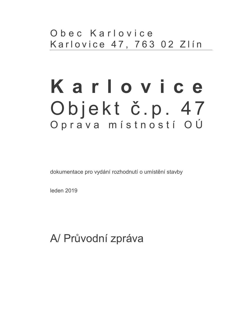## Obec Karlovice Karlovice 47, 763 02 Zlín

# Karlovice Objekt č.p. 47 Oprava místností OÚ

dokumentace pro vydání rozhodnutí o umístění stavby

leden 2019

# A/ Průvodní zpráva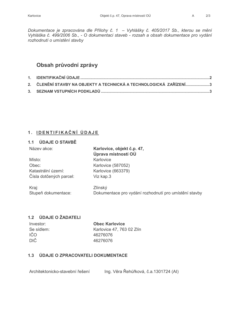Dokumentace je zpracována dle Přílohy č. 1 - Vyhlášky č. 405/2017 Sb., kterou se mění Vyhláška č. 499/2006 Sb., - O dokumentaci staveb - rozsah a obsah dokumentace pro vydání rozhodnutí o umístění stavby

## Obsah průvodní zprávy

| 2. ČLENĚNÍ STAVBY NA OBJEKTY A TECHNICKÁ A TECHNOLOGICKÁ  ZAŘÍZENÍ3 |  |
|---------------------------------------------------------------------|--|
|                                                                     |  |

## 1. IDENTIFIKAČNÍ ÚDAJE

## 1.1 ÚDAJE O STAVBĚ

| Název akce:                  | Karlovice, objekt č.p. 47,<br>Úprava místností OÚ                |
|------------------------------|------------------------------------------------------------------|
| Místo:                       | Karlovice                                                        |
| Obec:                        | Karlovice (587052)                                               |
| Katastrální území:           | Karlovice (663379)                                               |
| Čísla dotčených parcel:      | Viz kap.3                                                        |
| Kraj:<br>Stupeň dokumentace: | Zlínský<br>Dokumentace pro vydání rozhodnutí pro umístění stavby |

## 1.2 ÚDAJE O ŽADATELI

| Investor:  |  |  |  |  |
|------------|--|--|--|--|
| Se sídlem: |  |  |  |  |
| IČO        |  |  |  |  |
| DIČ        |  |  |  |  |

**Obec Karlovice** Karlovice 47, 763 02 Zlín 46276076 46276076

## 1.3 ÚDAJE O ZPRACOVATELI DOKUMENTACE

Ing. Věra Řehůřková, č.a.1301724 (AI) Architektonicko-stavební řešení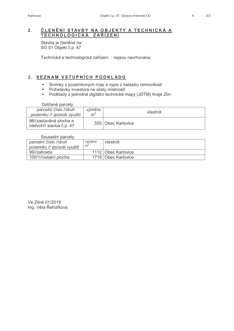## ČLENĚNÍ STAVBY NA OBJEKTY A TECHNICKÁ A  $2.$ TECHNOLOGICKÁ ZAŘÍZENÍ

Stavba je členěná na: SO 01 Objekt č.p. 47

Technická a technologická zařízení - nejsou navrhována.

## 3. SEZNAM VSTUPNÍCH PODKLADŮ

- Snímky z pozemkových map a výpis z katastru nemovitostí  $\mathbf{r}$  .
- Požadavky investora na účely místností
- Podklady z jednotné digitální technické mapy (JDTM) Kraje Zlín

Dotčené parcely

| parcelní číslo //druh<br>pozemku // způsob využití | výměra<br>m | vlastník           |
|----------------------------------------------------|-------------|--------------------|
| 98//zastavěná plocha a<br>nádvoří// stavba č.p. 47 |             | 555 Obec Karlovice |

## Sousední parcely

| parcelní číslo //druh     | výměra | vlastník              |  |  |
|---------------------------|--------|-----------------------|--|--|
| pozemku // způsob využití | m      |                       |  |  |
| 99//zahrada               |        | 1112 Obec Karlovice   |  |  |
| 100/1//ostatní plocha     |        | 1718   Obec Karlovice |  |  |

Ve Zlíně 01/2019 Ing. Věra Řehůřková  $\overline{A}$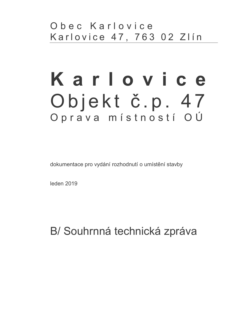# Karlovice Objekt č.p. 47 Oprava místností OÚ

dokumentace pro vydání rozhodnutí o umístění stavby

leden 2019

B/ Souhrnná technická zpráva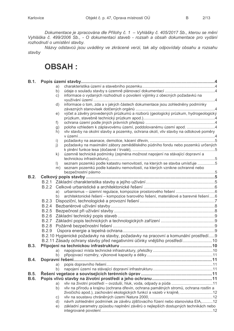Dokumentace je zpracována dle Přílohy č. 1 – Vyhlášky č. 405/2017 Sb., kterou se mění<br>Vyhláška č. 499/2006 Sb., - O dokumentaci staveb - rozsah a obsah dokumentace pro vydání rozhodnutí o umístění stavby.

Názvy odstavců jsou uváděny ve zkrácené verzi, tak aby odpovídaly obsahu a rozsahu stavby

## **OBSAH:**

|             |              | a)            |                                                                                        |  |
|-------------|--------------|---------------|----------------------------------------------------------------------------------------|--|
|             |              | b)            |                                                                                        |  |
|             |              | $\mathsf{c})$ | informace o vydaných rozhodnutí o povolení výjimky z obecných požadavků na             |  |
|             |              | d)            | informace o tom, zda a v jakých částech dokumentace jsou zohledněny podmínky           |  |
|             |              | e)            | výčet a závěry provedených průzkumů a rozborů (geologický průzkum, hydrogeologický     |  |
|             |              | f)            |                                                                                        |  |
|             |              | g)            | poloha vzhledem k záplavovému území, poddolovanému území apod. 4                       |  |
|             |              | h)            | vliv stavby na okolní stavby a pozemky, ochrana okolí, vliv stavby na odtokové poměry  |  |
|             |              | i)            |                                                                                        |  |
|             |              | j)            | požadavky na maximální zábory zemědělského půdního fondu nebo pozemků určených         |  |
|             |              | k)            | územně technické podmínky (zejména možnost napojení na stávající dopravní a            |  |
|             |              | $\vert$ )     | seznam pozemků podle katastru nemovitostí, na kterých se stavba umísťuje 5             |  |
|             |              | m)            | seznam pozemků podle katastru nemovitostí, na kterých vznikne ochranné nebo            |  |
| B.2.        |              |               |                                                                                        |  |
|             |              |               |                                                                                        |  |
|             |              |               |                                                                                        |  |
|             |              | a)            |                                                                                        |  |
|             |              | b)            | architektonické řešení – kompozice tvarového řešení, materiálové a barevné řešení6     |  |
|             |              |               |                                                                                        |  |
|             |              |               |                                                                                        |  |
|             |              |               |                                                                                        |  |
|             |              |               |                                                                                        |  |
|             |              |               |                                                                                        |  |
|             |              |               |                                                                                        |  |
|             | <b>B.2.9</b> |               |                                                                                        |  |
|             |              |               | B.2.10 Hygienické požadavky na stavby, požadavky na pracovní a komunální prostředí9    |  |
|             |              |               | B.2.11 Zásady ochrany stavby před negativními účinky vnějšího prostředí10              |  |
| <b>B.3.</b> |              |               |                                                                                        |  |
|             |              | a)            |                                                                                        |  |
|             |              |               |                                                                                        |  |
| <b>B.4.</b> |              |               |                                                                                        |  |
|             |              | a)            |                                                                                        |  |
|             |              | b)            |                                                                                        |  |
| B.5.        |              |               |                                                                                        |  |
| <b>B.6.</b> |              |               |                                                                                        |  |
|             |              | a)            | vliv na životní prostředí – ovzduší, hluk, voda, odpady a půda 11                      |  |
|             |              | b)            | vliv na přírodu a krajinu (ochrana dřevin, ochrana památných stromů, ochrana rostlin a |  |
|             |              |               | živočichů apod.), zachování ekologických funkcí a vazeb v krajině, 12                  |  |
|             |              | C)            |                                                                                        |  |
|             |              | d)            | návrh zohlednění podmínek ze závěru zjišťovacího řízení nebo stanoviska EIA,12         |  |
|             |              | e)            | základní parametry způsobu naplnění závěrů o nejlepších dostupných technikách nebo     |  |
|             |              |               |                                                                                        |  |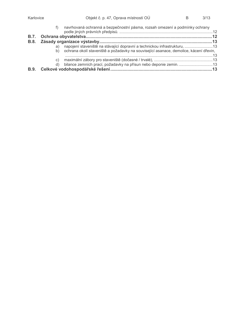|             |    | f) navrhovaná ochranná a bezpečnostní pásma, rozsah omezení a podmínky ochrany           |  |
|-------------|----|------------------------------------------------------------------------------------------|--|
| <b>B.7.</b> |    |                                                                                          |  |
|             |    |                                                                                          |  |
|             | a) | napojení staveniště na stávající dopravní a technickou infrastrukturu, 13                |  |
|             |    | b) ochrana okolí staveniště a požadavky na související asanace, demolice, kácení dřevin, |  |
|             |    |                                                                                          |  |
|             | C) |                                                                                          |  |
|             | d) |                                                                                          |  |
| <b>B.9.</b> |    |                                                                                          |  |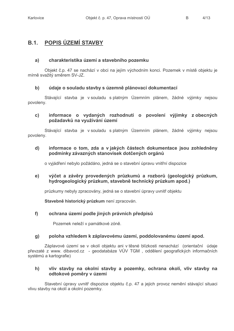$\mathsf{R}$ 

## **B.1. POPIS ÚZEMÍ STAVBY**

#### $a)$ charakteristika území a stavebního pozemku

Objekt č.p. 47 se nachází v obci na jejím východním konci. Pozemek v místě objektu je mírně svažitý směrem SV-JZ.

#### $\mathsf{b}$ údaje o souladu stavby s územně plánovací dokumentací

Stávající stavba je v souladu s platným Územním plánem, žádné výjimky nejsou povoleny.

## $\mathbf{C}$ informace o vydaných rozhodnutí o povolení výjimky z obecných požadavků na využívání území

Stávající stavba je v souladu s platným Územním plánem, žádné výjimky nejsou povoleny.

## informace o tom, zda a v jakých částech dokumentace jsou zohledněny d) podmínky závazných stanovisek dotčených orgánů

o vviádření nebylo požádáno, jedná se o stavební úpravu vnitřní dispozice

## výčet a závěry provedených průzkumů a rozborů (geologický průzkum,  $e)$ hydrogeologický průzkum, stavebně technický průzkum apod.)

průzkumy nebyly zpracovány, jedná se o stavební úpravy uvnitř objektu

Stavebně historický průzkum není zpracován.

#### $f$ ochrana území podle jiných právních předpisů

Pozemek neleží v památkové zóně.

#### poloha vzhledem k záplavovému území, poddolovanému území apod.  $g)$

Záplavové území se v okolí objektu ani v těsné blízkosti nenachází (orientační údaje převzaté z www. dibavod.cz - geodatabáze VÚV TGM, oddělení geografických informačních systémů a kartografie)

## vliv stavby na okolní stavby a pozemky, ochrana okolí, vliv stavby na  $h)$ odtokové poměry v území

Stavební úpravy uvnitř dispozice objektu č.p. 47 a jejich provoz nemění stávající situaci vlivu stavby na okolí a okolní pozemky.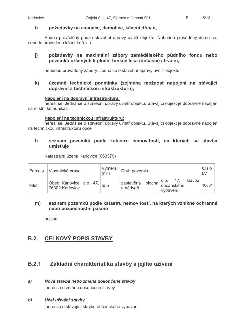#### požadavky na asanace, demolice, kácení dřevin,  $\mathbf{i}$

Budou prováděny pouze stavební úpravy uvnitř objektu. Nebudou prováděny demolice, nebude prováděno kácení dřevin.

## požadavky na maximální zábory zemědělského půdního fondu nebo  $j)$ pozemků určených k plnění funkce lesa (dočasné / trvalé),

nebudou prováděny zábory. Jedná se o stavební úpravy uvnitř objektu.

## $\mathbf{k}$ územně technické podmínky (zejména možnost napojení na stávající dopravní a technickou infrastrukturu),

## Napojení na dopravní infrastrukturu:

neřeší se. Jedná se o stavební úpravy uvnitř objektu. Stávající objekt je dopravně napojen na místní komunikaci

## Napojení na technickou infrastrukturu:

neřeší se. Jedná se o stavební úpravy uvnitř objektu. Stávající objekt je dopravně napojen na technickou infrastrukturu obce

## $\mathbf{I}$ seznam pozemků podle katastru nemovitostí, na kterých se stavba umísťuje

Katastrální území Karlovice (663379)

| Parcela | Vlastnické právo                            | Výměra<br>$\rm (m^2)$ | Druh pozemku           |                                                            | Číslo<br>LV |
|---------|---------------------------------------------|-----------------------|------------------------|------------------------------------------------------------|-------------|
| 98st.   | Obec Karlovice, č.p. 47,<br>76302 Karlovice | 555                   | zastavěná<br>a nádvoří | stavba<br>$\sim$ plocha $ e^{c.p.}$ občanského<br>vybavení | 10001       |

## $m)$ seznam pozemků podle katastru nemovitostí, na kterých vznikne ochranné nebo bezpečnostní pásmo

nejsou

#### **CELKOVÝ POPIS STAVBY**  $B.2.$

#### **B.2.1** Základní charakteristika stavby a jejího užívání

- Nová stavba nebo změna dokončené stavby  $a)$ jedná se o změnu dokončené stavby
- $\mathbf{b}$ Účel užívání stavby

jedná se o stávající stavbu občanského vybavení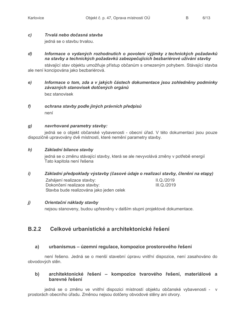$\mathsf{R}$ 

#### $\mathbf{C}$ Trvalá nebo dočasná stavba

jedná se o stavbu trvalou.

## Informace o vydaných rozhodnutích o povolení výjimky z technických požadavků  $\boldsymbol{d}$ na stavby a technických požadavků zabezpečujících bezbariérové užívání stavby

stávající stav objektu umožňuje přístup občanům s omezeným pohybem. Stávající stavba ale není koncipována jako bezbariérová.

Informace o tom, zda a v jakých částech dokumentace jsou zohledněny podmínky  $e)$ závazných stanovisek dotčených orgánů hez stanovisek

## $f$ ochrana stavby podle jiných právních předpisů není

#### $g)$ navrhované parametry stavby:

jedná se o objekt občanské vybavenosti - obecní úřad. V této dokumentaci jsou pouze dispozičně upravovány dvě místnosti, které nemění parametry stavby.

#### $h$ Základní bilance stavbv

jedná se o změnu stávající stavby, která se ale nevyvolává změny v potřebě energií Tato kapitola není řešena

#### Základní předpoklady výstavby (časové údaje o realizaci stavby, členění na etapy)  $\boldsymbol{i}$

Zaháiení realizace stavby:  $II$   $O$  /2019 Dokončení realizace stavby: III.Q./2019 Stavba bude realizována jako jeden celek

#### $\ddot{\mathbf{l}}$ Orientační náklady stavby

nejsou stanoveny, budou upřesněny v dalším stupni projektové dokumentace.

#### Celkové urbanistické a architektonické řešení **B.2.2**

#### urbanismus – územní regulace, kompozice prostorového řešení  $a)$

není řešeno. Jedná se o menší stavební úpravu vnitřní dispozice, není zasahováno do obvodových stěn.

## architektonické řešení – kompozice tvarového řešení, materiálové a  $\mathbf{b}$ harevné řešení

jedná se o změnu ve vnitřní dispozici místností objektu občanské vybavenosti - v prostorách obecního úřadu. Změnou nejsou dotčeny obvodové stěny ani otvory.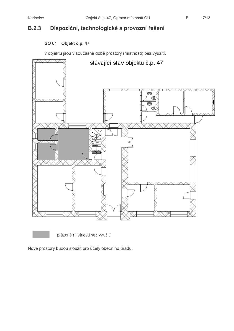$\mathsf{B}$ 

## Dispoziční, technologické a provozní řešení  $B.2.3$

## SO 01 Objekt č.p. 47

v objektu jsou v současné době prostory (místnosti) bez využití.



prázdné místnosti bez využití

Nové prostory budou sloužit pro účely obecního úřadu.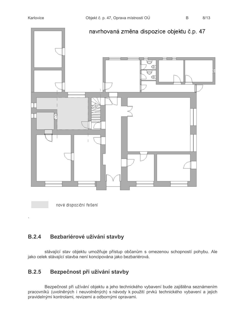

nové dispoziční řešení

## $B.2.4$ Bezbariérové užívání stavby

stávající stav objektu umožňuje přístup občanům s omezenou schopností pohybu. Ale jako celek stávající stavba není koncipována jako bezbariérová.

## Bezpečnost při užívání stavby  $B.2.5$

Bezpečnost při užívání objektu a jeho technického vybavení bude zajištěna seznámením pracovníků (uvolněných i neuvolněných) s návody k použití prvků technického vybavení a jejich pravidelnými kontrolami, revizemi a odbornými opravami.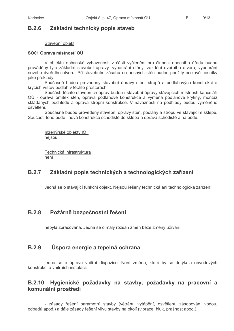$\mathsf{R}$ 

#### Základní technický popis staveb  $B.2.6$

## Stavební objekt

## SO01 Oprava místností OÚ

V obiektu občanské vybavenosti v části vyčlenění pro činnost obecního úřadu budou prováděny tyto základní stavební úpravy: vybourání stěny, zazdění dveřního otvoru, vybourání nového dveřního otvoru. Při stavebním zásahu do nosných stěn budou použity ocelové nosníky jako překlady.

Současně budou provedeny stavební úpravy stěn, stropů a podlahových konstrukcí a krycích vrstev podlah v těchto prostorách.

Součástí těchto stavebních úprav budou i stavební úpravy stávajících místností kanceláří OÚ - oprava omítek stěn, oprava podlahové konstrukce a výměna podlahové krytiny, montáž skládaných podhledů a oprava stropní konstrukce. V návaznosti na podhledy budou vyměněno osvětlení.

Současně budou provedeny stavební opravy stěn, podlahy a stropu ve stávajícím sklepě. Součástí toho bude i nová konstrukce schodiště do sklepa a oprava schodiště a na půdu.

Inženýrské objekty IO: nejsou

Technická infrastruktura není

#### Základní popis technických a technologických zařízení **B.2.7**

Jedná se o stávající funkční objekt. Nejsou řešeny technická ani technologická zařízení

#### $B.2.8$ Požárně bezpečnostní řešení

nebyla zpracována. Jedná se o malý rozsah změn beze změny užívání.

#### **B.2.9** Úspora energie a tepelná ochrana

jedná se o úpravu vnitřní dispozice. Není změna, která by se dotýkala obvodových konstrukcí a vnitřních instalací.

## Hygienické požadavky na stavby, požadavky na pracovní a **B.2.10** komunální prostředí

- zásady řešení parametrů stavby (větrání, vytápění, osvětlení, zásobování vodou, odpadů apod.) a dále zásady řešení vlivu stavby na okolí (vibrace, hluk, prašnost apod.).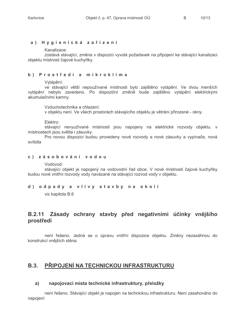## a) Hygienická zařízení

Kanalizace:

zůstává stávající, změna v dispozici vyvolá požadavek na připojení ke stávající kanalizaci objektu místnost čajové kuchyňky.

## b) Prostředí a mikroklima

Vytápění:

ve stávající větší nepoužívané místnosti bylo zajištěno vytápění. Ve dvou menších vytápění nebylo zavedeno. Po dispoziční změně bude zajištěno vytápění elektrickými akumulačními kamny.

Vzduchotechnika a chlazení:

v objektu není. Ve všech prostorách stávajícího objektu je větrání přirozené - okny.

Elektro:

stávající nevyužívané místnosti jsou napojeny na elektrické rozvody objektu. v místnostech jsou světla i zásuvky.

Pro novou dispozici budou provedeny nové rozvody a nové zásuvky a vypínače, nová svítidla

## c) zásobování vodou

Vodovod:

stávající objekt je napojený na vodovodní řad obce. V nové místnosti čajové kuchyňky budou nové vnitřní rozvody vody navázané na stávající rozvod vody v objektu.

## d) odpady a vlivy stavby na okolí

viz kapitola B.6

## Zásady ochrany stavby před negativními účinky vnějšího  $B.2.11$ prostředí

není řešeno. Jedná se o úpravu vnitřní dispozice objektu. Změny nezasáhnou do konstrukcí vnějších stěna.

## **B.3. PŘIPOJENÍ NA TECHNICKOU INFRASTRUKTURU**

#### napojovací místa technické infrastruktury, přeložky a)

není řešeno. Stávající objekt je napojen na technickou infrastrukturu. Není zasahováno do napojení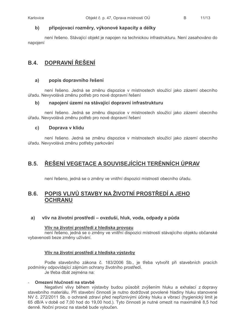#### připojovací rozměry, výkonové kapacity a délky  $\mathbf{b}$

není řešeno. Stávající objekt je napojen na technickou infrastrukturu. Není zasahováno do napojení

## **DOPRAVNÍ ŘEŠENÍ**  $B.4.$

#### popis dopravního řešení  $a)$

není řešeno. Jedná se změnu dispozice v místnostech sloužící jako zázemí obecního úřadu. Nevyvolává změnu potřeb pro nové dopravní řešení

#### napojení území na stávající dopravní infrastrukturu b)

není řešeno. Jedná se změnu dispozice v místnostech sloužící jako zázemí obecního úřadu. Nevyvolává změnu potřeb pro nové dopravní řešení

#### $c)$ Doprava v klidu

není řešeno. Jedná se změnu dispozice v místnostech sloužící jako zázemí obecního úřadu. Nevyvolává změnu potřeby parkování

## ŘEŠENÍ VEGETACE A SOUVISEJÍCÍCH TERÉNNÍCH ÚPRAV  $B.5.$

není řešeno, jedná se o změny ve vnitřní dispozici místností obecního úřadu.

## POPIS VLIVŮ STAVBY NA ŽIVOTNÍ PROSTŘEDÍ A JEHO **B.6. OCHRANU**

#### vliv na životní prostředí – ovzduší, hluk, voda, odpady a půda  $a)$

## Vliv na životní prostředí z hlediska provozu

není řešeno, jedná se o změny ve vnitřní dispozici místností stávajícího objektu občanské vybavenosti beze změny užívání.

## Vliv na životní prostředí z hlediska výstavby

Podle stavebního zákona č. 183/2006 Sb., je třeba vytvořit při stavebních pracích podmínky odpovídající zájmům ochrany životního prostředí. Je třeba dbát zejména na:

## Omezení hlučnosti na stavbě

Negativní vlivy během výstavby budou působit zvýšením hluku a exhalací z dopravy stavebního materiálu. Při stavební činnosti je nutno dodržovat povolené hladiny hluku stanovené NV č. 272/2011 Sb. o ochraně zdraví před nepříznivými účinky hluku a vibrací (hygienický limit je 65 dB/A v době od 7,00 hod do 19,00 hod.). Tyto činnosti je nutné omezit na maximálně 8,5 hod denně. Noční provoz na stavbě bude vyloučen.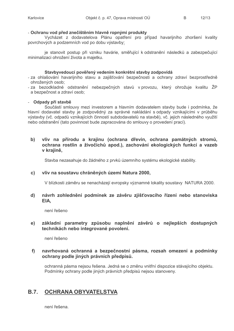## - Ochranu vod před znečištěním hlavně ropnými produkty

Vycházet z dodavatelova Plánu opatření pro případ havarijního zhoršení kvality povrchových a podzemních vod po dobu výstavby:

je stanovit postup při vzniku havárie, směřující k odstranění následků a zabezpečující minimalizaci ohrožení života a majetku.

## Stavbyvedoucí pověřený vedením konkrétní stavby zodpovídá

- za ohlašování havarijního stavu a zajišťování bezpečnosti a ochrany zdraví bezprostředně ohrožených osob;
- za bezodkladné odstranění nebezpečných stavů v provozu, který ohrožuje kvalitu ŽP a bezpečnost a zdraví osob;

## - Odpady při stavbě

Součástí smlouvy mezi investorem a hlavním dodavatelem stavby bude i podmínka, že hlavní dodavatel stavby je zodpovědný za správné nakládání s odpady vznikajícími v průběhu výstavby (vč. odpadů vznikajících činností subdodavatelů na stavbě), vč. jejich následného využití nebo odstranění (tato povinnost bude zapracována do smlouvy o provedení prací).

## $\mathbf{b}$ vliv na přírodu a krajinu (ochrana dřevin, ochrana památných stromů, ochrana rostlin a živočichů apod.), zachování ekologických funkcí a vazeb v krajině.

Stavba nezasahuje do žádného z prvků územního systému ekologické stability.

## c) vliv na soustavu chráněných území Natura 2000,

V blízkosti záměru se nenacházejí evropsky významné lokality soustavy NATURA 2000.

## $\mathbf{d}$ návrh zohlednění podmínek ze závěru zjišťovacího řízení nebo stanoviska EIA.

není řešeno

## $e)$ základní parametry způsobu naplnění závěrů o nejlepších dostupných technikách nebo integrované povolení.

není řešeno

## $f$ navrhovaná ochranná a bezpečnostní pásma, rozsah omezení a podmínky ochrany podle jiných právních předpisů.

ochranná pásma nejsou řešena. Jedná se o změnu vnitřní dispozice stávajícího objektu. Podmínky ochrany podle jiných právních předpisů nejsou stanoveny.

#### $B.7.$ OCHRANA OBYVATELSTVA

není řešena.